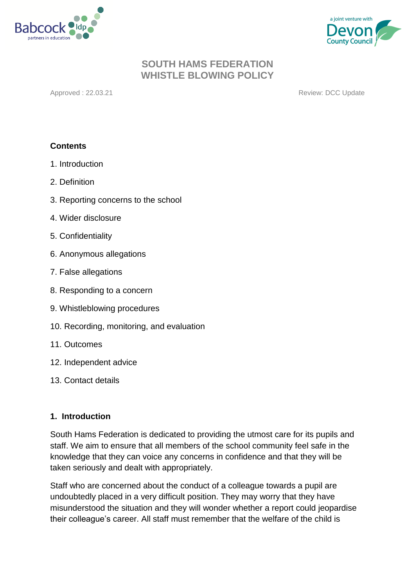



Approved : 22.03.21 **Review: DCC Update** 

## **Contents**

- 1. Introduction
- 2. Definition
- 3. Reporting concerns to the school
- 4. Wider disclosure
- 5. Confidentiality
- 6. Anonymous allegations
- 7. False allegations
- 8. Responding to a concern
- 9. Whistleblowing procedures
- 10. Recording, monitoring, and evaluation
- 11. Outcomes
- 12. Independent advice
- 13. Contact details

## **1. Introduction**

South Hams Federation is dedicated to providing the utmost care for its pupils and staff. We aim to ensure that all members of the school community feel safe in the knowledge that they can voice any concerns in confidence and that they will be taken seriously and dealt with appropriately.

Staff who are concerned about the conduct of a colleague towards a pupil are undoubtedly placed in a very difficult position. They may worry that they have misunderstood the situation and they will wonder whether a report could jeopardise their colleague's career. All staff must remember that the welfare of the child is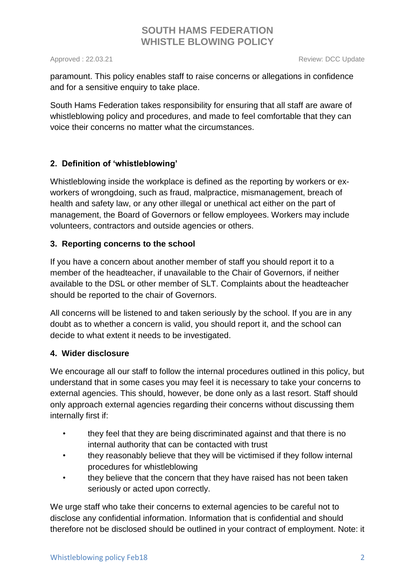Approved : 22.03.21 **Review: DCC Update** 

paramount. This policy enables staff to raise concerns or allegations in confidence and for a sensitive enquiry to take place.

South Hams Federation takes responsibility for ensuring that all staff are aware of whistleblowing policy and procedures, and made to feel comfortable that they can voice their concerns no matter what the circumstances.

## **2. Definition of 'whistleblowing'**

Whistleblowing inside the workplace is defined as the reporting by workers or exworkers of wrongdoing, such as fraud, malpractice, mismanagement, breach of health and safety law, or any other illegal or unethical act either on the part of management, the Board of Governors or fellow employees. Workers may include volunteers, contractors and outside agencies or others.

## **3. Reporting concerns to the school**

If you have a concern about another member of staff you should report it to a member of the headteacher, if unavailable to the Chair of Governors, if neither available to the DSL or other member of SLT. Complaints about the headteacher should be reported to the chair of Governors.

All concerns will be listened to and taken seriously by the school. If you are in any doubt as to whether a concern is valid, you should report it, and the school can decide to what extent it needs to be investigated.

## **4. Wider disclosure**

We encourage all our staff to follow the internal procedures outlined in this policy, but understand that in some cases you may feel it is necessary to take your concerns to external agencies. This should, however, be done only as a last resort. Staff should only approach external agencies regarding their concerns without discussing them internally first if:

- they feel that they are being discriminated against and that there is no internal authority that can be contacted with trust
- they reasonably believe that they will be victimised if they follow internal procedures for whistleblowing
- they believe that the concern that they have raised has not been taken seriously or acted upon correctly.

We urge staff who take their concerns to external agencies to be careful not to disclose any confidential information. Information that is confidential and should therefore not be disclosed should be outlined in your contract of employment. Note: it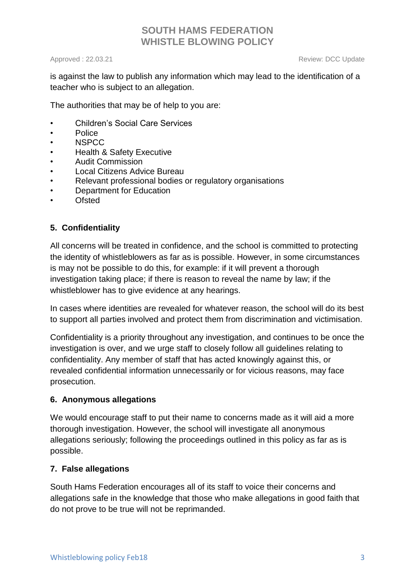Approved : 22.03.21 **Review: DCC Update** 

is against the law to publish any information which may lead to the identification of a teacher who is subject to an allegation.

The authorities that may be of help to you are:

- Children's Social Care Services
- Police
- NSPCC
- Health & Safety Executive
- Audit Commission
- Local Citizens Advice Bureau
- Relevant professional bodies or regulatory organisations
- Department for Education
- **Ofsted**

## **5. Confidentiality**

All concerns will be treated in confidence, and the school is committed to protecting the identity of whistleblowers as far as is possible. However, in some circumstances is may not be possible to do this, for example: if it will prevent a thorough investigation taking place; if there is reason to reveal the name by law; if the whistleblower has to give evidence at any hearings.

In cases where identities are revealed for whatever reason, the school will do its best to support all parties involved and protect them from discrimination and victimisation.

Confidentiality is a priority throughout any investigation, and continues to be once the investigation is over, and we urge staff to closely follow all guidelines relating to confidentiality. Any member of staff that has acted knowingly against this, or revealed confidential information unnecessarily or for vicious reasons, may face prosecution.

## **6. Anonymous allegations**

We would encourage staff to put their name to concerns made as it will aid a more thorough investigation. However, the school will investigate all anonymous allegations seriously; following the proceedings outlined in this policy as far as is possible.

## **7. False allegations**

South Hams Federation encourages all of its staff to voice their concerns and allegations safe in the knowledge that those who make allegations in good faith that do not prove to be true will not be reprimanded.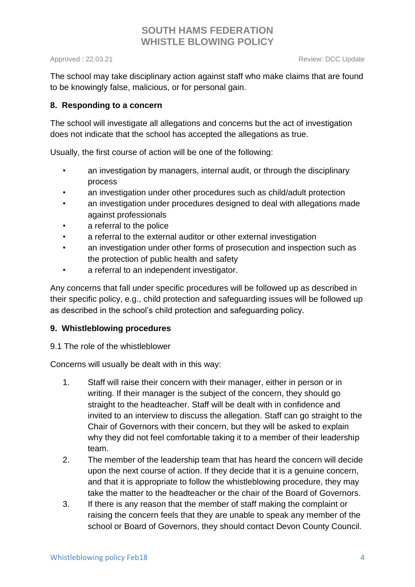Approved : 22.03.21 **Review: DCC Update** 

The school may take disciplinary action against staff who make claims that are found to be knowingly false, malicious, or for personal gain.

## **8. Responding to a concern**

The school will investigate all allegations and concerns but the act of investigation does not indicate that the school has accepted the allegations as true.

Usually, the first course of action will be one of the following:

- an investigation by managers, internal audit, or through the disciplinary process
- an investigation under other procedures such as child/adult protection
- an investigation under procedures designed to deal with allegations made against professionals
- a referral to the police
- a referral to the external auditor or other external investigation
- an investigation under other forms of prosecution and inspection such as the protection of public health and safety
- a referral to an independent investigator.

Any concerns that fall under specific procedures will be followed up as described in their specific policy, e.g., child protection and safeguarding issues will be followed up as described in the school's child protection and safeguarding policy.

## **9. Whistleblowing procedures**

9.1 The role of the whistleblower

Concerns will usually be dealt with in this way:

- 1. Staff will raise their concern with their manager, either in person or in writing. If their manager is the subject of the concern, they should go straight to the headteacher. Staff will be dealt with in confidence and invited to an interview to discuss the allegation. Staff can go straight to the Chair of Governors with their concern, but they will be asked to explain why they did not feel comfortable taking it to a member of their leadership team.
- 2. The member of the leadership team that has heard the concern will decide upon the next course of action. If they decide that it is a genuine concern, and that it is appropriate to follow the whistleblowing procedure, they may take the matter to the headteacher or the chair of the Board of Governors.
- 3. If there is any reason that the member of staff making the complaint or raising the concern feels that they are unable to speak any member of the school or Board of Governors, they should contact Devon County Council.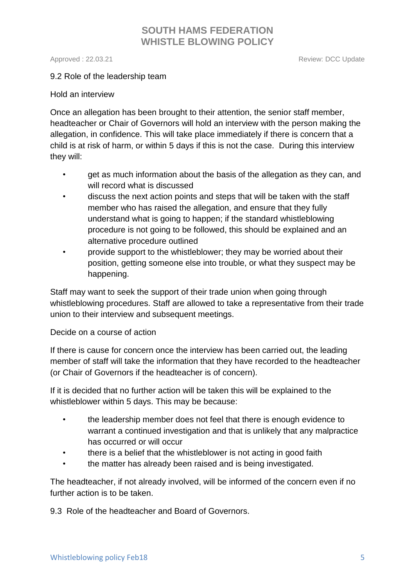Approved : 22.03.21 **Review: DCC Update** 

#### 9.2 Role of the leadership team

#### Hold an interview

Once an allegation has been brought to their attention, the senior staff member, headteacher or Chair of Governors will hold an interview with the person making the allegation, in confidence. This will take place immediately if there is concern that a child is at risk of harm, or within 5 days if this is not the case. During this interview they will:

- get as much information about the basis of the allegation as they can, and will record what is discussed
- discuss the next action points and steps that will be taken with the staff member who has raised the allegation, and ensure that they fully understand what is going to happen; if the standard whistleblowing procedure is not going to be followed, this should be explained and an alternative procedure outlined
- provide support to the whistleblower; they may be worried about their position, getting someone else into trouble, or what they suspect may be happening.

Staff may want to seek the support of their trade union when going through whistleblowing procedures. Staff are allowed to take a representative from their trade union to their interview and subsequent meetings.

#### Decide on a course of action

If there is cause for concern once the interview has been carried out, the leading member of staff will take the information that they have recorded to the headteacher (or Chair of Governors if the headteacher is of concern).

If it is decided that no further action will be taken this will be explained to the whistleblower within 5 days. This may be because:

- the leadership member does not feel that there is enough evidence to warrant a continued investigation and that is unlikely that any malpractice has occurred or will occur
- there is a belief that the whistleblower is not acting in good faith
- the matter has already been raised and is being investigated.

The headteacher, if not already involved, will be informed of the concern even if no further action is to be taken.

9.3 Role of the headteacher and Board of Governors.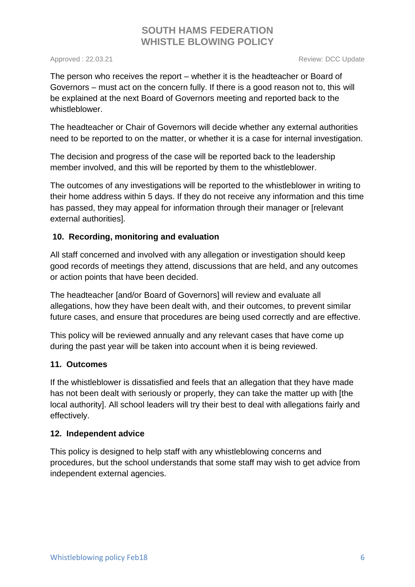Approved : 22.03.21 **Review: DCC Update** 

The person who receives the report – whether it is the headteacher or Board of Governors – must act on the concern fully. If there is a good reason not to, this will be explained at the next Board of Governors meeting and reported back to the whistleblower.

The headteacher or Chair of Governors will decide whether any external authorities need to be reported to on the matter, or whether it is a case for internal investigation.

The decision and progress of the case will be reported back to the leadership member involved, and this will be reported by them to the whistleblower.

The outcomes of any investigations will be reported to the whistleblower in writing to their home address within 5 days. If they do not receive any information and this time has passed, they may appeal for information through their manager or [relevant external authorities].

## **10. Recording, monitoring and evaluation**

All staff concerned and involved with any allegation or investigation should keep good records of meetings they attend, discussions that are held, and any outcomes or action points that have been decided.

The headteacher [and/or Board of Governors] will review and evaluate all allegations, how they have been dealt with, and their outcomes, to prevent similar future cases, and ensure that procedures are being used correctly and are effective.

This policy will be reviewed annually and any relevant cases that have come up during the past year will be taken into account when it is being reviewed.

## **11. Outcomes**

If the whistleblower is dissatisfied and feels that an allegation that they have made has not been dealt with seriously or properly, they can take the matter up with [the local authority]. All school leaders will try their best to deal with allegations fairly and effectively.

## **12. Independent advice**

This policy is designed to help staff with any whistleblowing concerns and procedures, but the school understands that some staff may wish to get advice from independent external agencies.